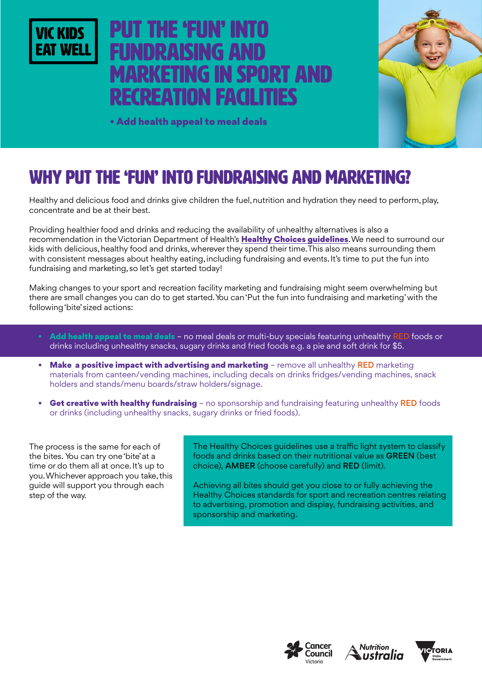

# I THE 'FUN' INT NDRAISING AN marketing in Sport and recreation facilities



• Add health appeal to meal deals

## WHY PUT THE 'FUN' INTO FUNDRAISING AND MARKETING?

Healthy and delicious food and drinks give children the fuel, nutrition and hydration they need to perform, play, concentrate and be at their best.

Providing healthier food and drinks and reducing the availability of unhealthy alternatives is also a recommendation in the Victorian Department of Health's [Healthy Choices guidelines](https://www2.health.vic.gov.au/public-health/preventive-health/nutrition/healthy-choices-for-retail-outlets-vending-machines-catering). We need to surround our kids with delicious, healthy food and drinks, wherever they spend their time. This also means surrounding them with consistent messages about healthy eating, including fundraising and events. It's time to put the fun into fundraising and marketing, so let's get started today!

Making changes to your sport and recreation facility marketing and fundraising might seem overwhelming but there are small changes you can do to get started. You can 'Put the fun into fundraising and marketing' with the following 'bite' sized actions:

- Add health appeal to meal deals no meal deals or multi-buy specials featuring unhealthy RED foods or drinks including unhealthy snacks, sugary drinks and fried foods e.g. a pie and soft drink for \$5.
- Make a positive impact with advertising and marketing remove all unhealthy RED marketing materials from canteen/vending machines, including decals on drinks fridges/vending machines, snack holders and stands/menu boards/straw holders/signage.
- Get creative with healthy fundraising no sponsorship and fundraising featuring unhealthy RED foods or drinks (including unhealthy snacks, sugary drinks or fried foods).

The process is the same for each of the bites. You can try one 'bite' at a time or do them all at once. It's up to you. Whichever approach you take, this guide will support you through each step of the way.

The Healthy Choices guidelines use a traffic light system to classify foods and drinks based on their nutritional value as GREEN (best choice), AMBER (choose carefully) and RED (limit).

Achieving all bites should get you close to or fully achieving the Healthy Choices standards for sport and recreation centres relating to advertising, promotion and display, fundraising activities, and sponsorship and marketing.





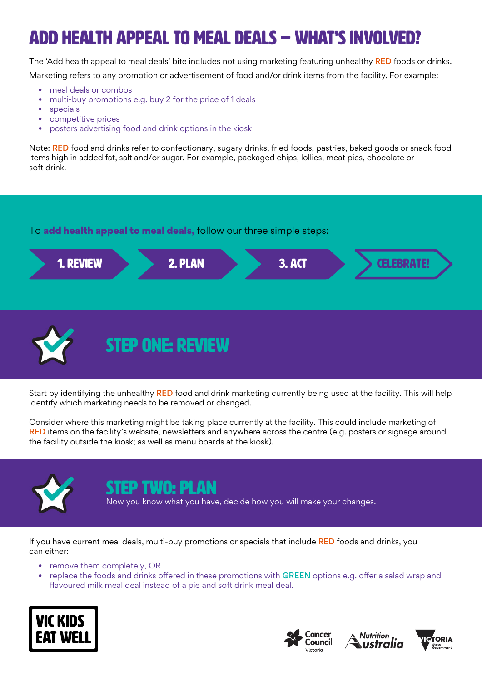# Add health appeal to meal deals – WHAT'S INVOLVED?

The 'Add health appeal to meal deals' bite includes not using marketing featuring unhealthy RED foods or drinks. Marketing refers to any promotion or advertisement of food and/or drink items from the facility. For example:

- meal deals or combos
- multi-buy promotions e.g. buy 2 for the price of 1 deals
- specials
- competitive prices
- posters advertising food and drink options in the kiosk

Note: RED food and drinks refer to confectionary, sugary drinks, fried foods, pastries, baked goods or snack food items high in added fat, salt and/or sugar. For example, packaged chips, lollies, meat pies, chocolate or soft drink.

#### To add health appeal to meal deals, follow our three simple steps:



STEP ONE: REVIEW

Start by identifying the unhealthy RED food and drink marketing currently being used at the facility. This will help identify which marketing needs to be removed or changed.

Consider where this marketing might be taking place currently at the facility. This could include marketing of RED items on the facility's website, newsletters and anywhere across the centre (e.g. posters or signage around the facility outside the kiosk; as well as menu boards at the kiosk).



### FP TWN: PI AN

Now you know what you have, decide how you will make your changes.

If you have current meal deals, multi-buy promotions or specials that include RED foods and drinks, you can either:

- remove them completely, OR
- replace the foods and drinks offered in these promotions with GREEN options e.g. offer a salad wrap and flavoured milk meal deal instead of a pie and soft drink meal deal.







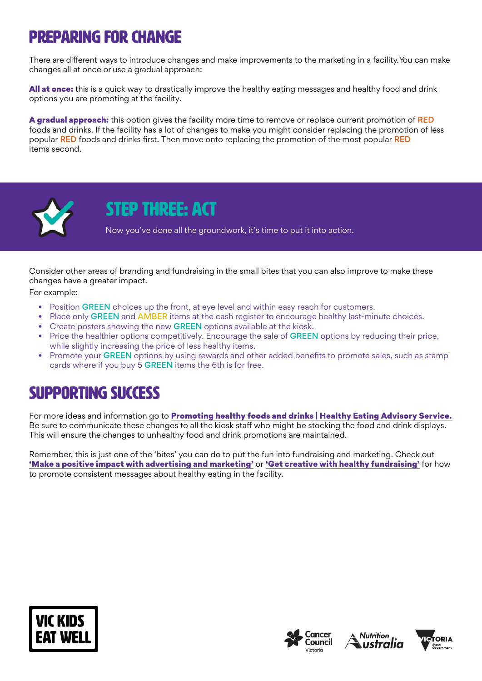## Preparing for change

There are different ways to introduce changes and make improvements to the marketing in a facility. You can make changes all at once or use a gradual approach:

All at once: this is a quick way to drastically improve the healthy eating messages and healthy food and drink options you are promoting at the facility.

A gradual approach: this option gives the facility more time to remove or replace current promotion of RED foods and drinks. If the facility has a lot of changes to make you might consider replacing the promotion of less popular RED foods and drinks first. Then move onto replacing the promotion of the most popular RED items second.



### STEP THREE: ACT

Now you've done all the groundwork, it's time to put it into action.

Consider other areas of branding and fundraising in the small bites that you can also improve to make these changes have a greater impact.

For example:

- Position GREEN choices up the front, at eye level and within easy reach for customers.
- Place only GREEN and AMBER items at the cash register to encourage healthy last-minute choices.
- Create posters showing the new **GREEN** options available at the kiosk.
- Price the healthier options competitively. Encourage the sale of GREEN options by reducing their price, while slightly increasing the price of less healthy items.
- Promote your GREEN options by using rewards and other added benefits to promote sales, such as stamp cards where if you buy 5 GREEN items the 6th is for free.

## SUPPORTING SUCCESS

For more ideas and information go to [Promoting healthy foods and drinks | Healthy Eating Advisory Service.](http://heas.health.vic.gov.au/healthy-choices/promoting-healthier-choices) Be sure to communicate these changes to all the kiosk staff who might be stocking the food and drink displays. This will ensure the changes to unhealthy food and drink promotions are maintained.

Remember, this is just one of the 'bites' you can do to put the fun into fundraising and marketing. Check out ['Make a positive impact with advertising and marketing'](https://www.vickidseatwell.health.vic.gov.au/resources) or ['Get creative with healthy fundraising'](https://www.vickidseatwell.health.vic.gov.au/resources) for how to promote consistent messages about healthy eating in the facility.